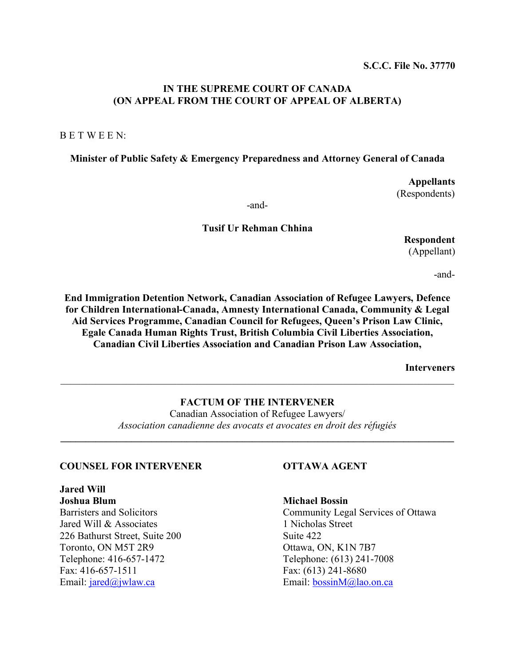## **IN THE SUPREME COURT OF CANADA (ON APPEAL FROM THE COURT OF APPEAL OF ALBERTA)**

B E T W E E N:

#### **Minister of Public Safety & Emergency Preparedness and Attorney General of Canada**

**Appellants**  (Respondents)

-and-

#### **Tusif Ur Rehman Chhina**

**Respondent** 

(Appellant)

-and-

**End Immigration Detention Network, Canadian Association of Refugee Lawyers, Defence for Children International-Canada, Amnesty International Canada, Community & Legal Aid Services Programme, Canadian Council for Refugees, Queen's Prison Law Clinic, Egale Canada Human Rights Trust, British Columbia Civil Liberties Association, Canadian Civil Liberties Association and Canadian Prison Law Association,** 

**Interveners** 

## **FACTUM OF THE INTERVENER**  Canadian Association of Refugee Lawyers/ *Association canadienne des avocats et avocates en droit des réfugiés*   $\mathcal{L}_\mathcal{L} = \{ \mathcal{L}_\mathcal{L} = \{ \mathcal{L}_\mathcal{L} = \{ \mathcal{L}_\mathcal{L} = \{ \mathcal{L}_\mathcal{L} = \{ \mathcal{L}_\mathcal{L} = \{ \mathcal{L}_\mathcal{L} = \{ \mathcal{L}_\mathcal{L} = \{ \mathcal{L}_\mathcal{L} = \{ \mathcal{L}_\mathcal{L} = \{ \mathcal{L}_\mathcal{L} = \{ \mathcal{L}_\mathcal{L} = \{ \mathcal{L}_\mathcal{L} = \{ \mathcal{L}_\mathcal{L} = \{ \mathcal{L}_\mathcal{$

 $\mathcal{L}_\mathcal{L} = \mathcal{L}_\mathcal{L} = \mathcal{L}_\mathcal{L} = \mathcal{L}_\mathcal{L} = \mathcal{L}_\mathcal{L} = \mathcal{L}_\mathcal{L} = \mathcal{L}_\mathcal{L} = \mathcal{L}_\mathcal{L} = \mathcal{L}_\mathcal{L} = \mathcal{L}_\mathcal{L} = \mathcal{L}_\mathcal{L} = \mathcal{L}_\mathcal{L} = \mathcal{L}_\mathcal{L} = \mathcal{L}_\mathcal{L} = \mathcal{L}_\mathcal{L} = \mathcal{L}_\mathcal{L} = \mathcal{L}_\mathcal{L}$ 

#### **COUNSEL FOR INTERVENER OTTAWA AGENT**

# **Jared Will**

Jared Will & Associates 1 Nicholas Street 226 Bathurst Street, Suite 200 Suite 422 Toronto, ON M5T 2R9 Ottawa, ON, K1N 7B7 Telephone: 416-657-1472 Telephone: (613) 241-7008 Fax: 416-657-1511 Fax: (613) 241-8680 Email: jared@jwlaw.ca Email: bossinM@lao.on.ca

**Joshua Blum Michael Bossin** 

Barristers and Solicitors Community Legal Services of Ottawa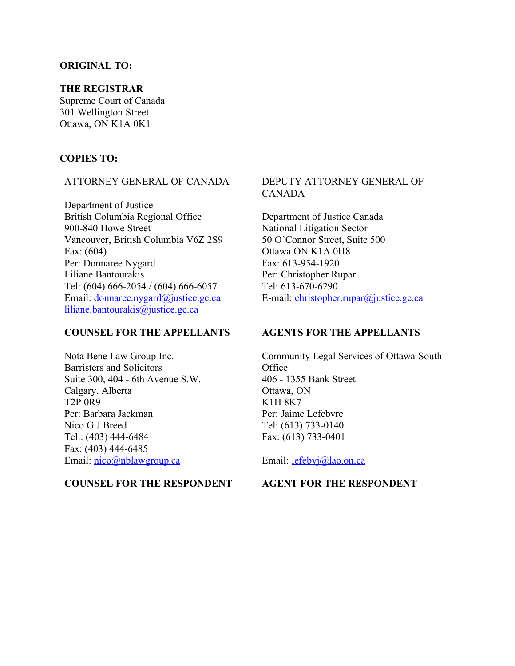## **ORIGINAL TO:**

## **THE REGISTRAR**

Supreme Court of Canada 301 Wellington Street Ottawa, ON K1A 0K1

#### **COPIES TO:**

## ATTORNEY GENERAL OF CANADA

Department of Justice British Columbia Regional Office 900-840 Howe Street Vancouver, British Columbia V6Z 2S9 Fax: (604) Per: Donnaree Nygard Liliane Bantourakis Tel: (604) 666-2054 / (604) 666-6057 Email: donnaree.nygard@justice.gc.ca liliane.bantourakis@justice.gc.ca

## **COUNSEL FOR THE APPELLANTS**

Nota Bene Law Group Inc. Barristers and Solicitors Suite 300, 404 - 6th Avenue S.W. Calgary, Alberta T2P 0R9 Per: Barbara Jackman Nico G.J Breed Tel.: (403) 444-6484 Fax: (403) 444-6485 Email: <u>nico</u>@nblawgroup.ca

#### **COUNSEL FOR THE RESPONDENT**

## DEPUTY ATTORNEY GENERAL OF CANADA

Department of Justice Canada National Litigation Sector 50 O'Connor Street, Suite 500 Ottawa ON K1A 0H8 Fax: 613-954-1920 Per: Christopher Rupar Tel: 613-670-6290 E-mail: christopher.rupar@justice.gc.ca

## **AGENTS FOR THE APPELLANTS**

Community Legal Services of Ottawa-South **Office** 406 - 1355 Bank Street Ottawa, ON K1H 8K7 Per: Jaime Lefebvre Tel: (613) 733-0140 Fax: (613) 733-0401

Email: lefebvj@lao.on.ca

#### **AGENT FOR THE RESPONDENT**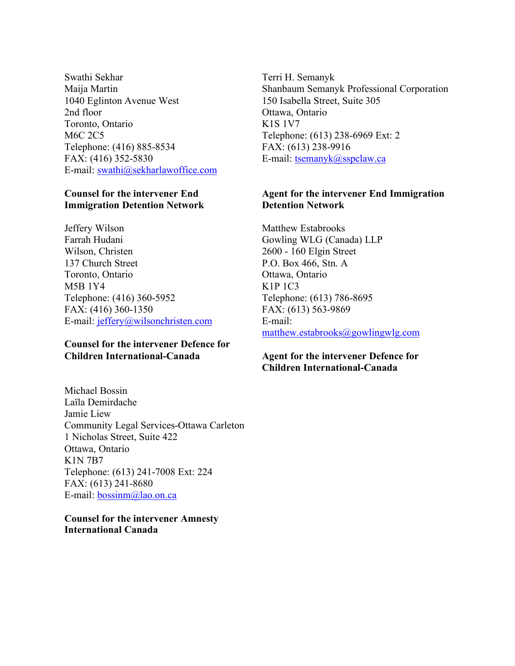Swathi Sekhar Maija Martin 1040 Eglinton Avenue West 2nd floor Toronto, Ontario M6C 2C5 Telephone: (416) 885-8534 FAX: (416) 352-5830 E-mail: swathi@sekharlawoffice.com

#### **Counsel for the intervener End Immigration Detention Network**

Jeffery Wilson Farrah Hudani Wilson, Christen 137 Church Street Toronto, Ontario M5B 1Y4 Telephone: (416) 360-5952 FAX: (416) 360-1350 E-mail: jeffery@wilsonchristen.com

## **Counsel for the intervener Defence for Children International-Canada**

Michael Bossin Laïla Demirdache Jamie Liew Community Legal Services-Ottawa Carleton 1 Nicholas Street, Suite 422 Ottawa, Ontario K1N 7B7 Telephone: (613) 241-7008 Ext: 224 FAX: (613) 241-8680 E-mail: bossinm@lao.on.ca

**Counsel for the intervener Amnesty International Canada**

Terri H. Semanyk Shanbaum Semanyk Professional Corporation 150 Isabella Street, Suite 305 Ottawa, Ontario K1S 1V7 Telephone: (613) 238-6969 Ext: 2 FAX: (613) 238-9916 E-mail: tsemanyk@sspclaw.ca

## **Agent for the intervener End Immigration Detention Network**

Matthew Estabrooks Gowling WLG (Canada) LLP 2600 - 160 Elgin Street P.O. Box 466, Stn. A Ottawa, Ontario K1P 1C3 Telephone: (613) 786-8695 FAX: (613) 563-9869 E-mail: matthew.estabrooks@gowlingwlg.com

## **Agent for the intervener Defence for Children International-Canada**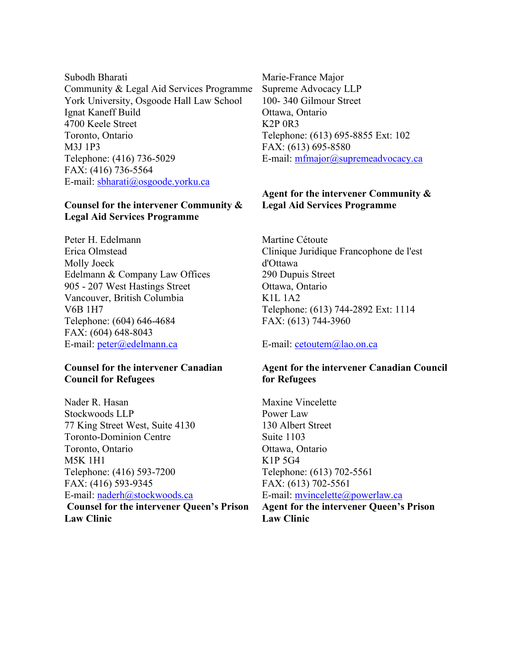Subodh Bharati Community & Legal Aid Services Programme York University, Osgoode Hall Law School Ignat Kaneff Build 4700 Keele Street Toronto, Ontario M3J 1P3 Telephone: (416) 736-5029 FAX: (416) 736-5564 E-mail: sbharati@osgoode.yorku.ca

## **Counsel for the intervener Community & Legal Aid Services Programme**

Peter H. Edelmann Erica Olmstead Molly Joeck Edelmann & Company Law Offices 905 - 207 West Hastings Street Vancouver, British Columbia V6B 1H7 Telephone: (604) 646-4684 FAX: (604) 648-8043 E-mail: peter@edelmann.ca

#### **Counsel for the intervener Canadian Council for Refugees**

Nader R. Hasan Stockwoods LLP 77 King Street West, Suite 4130 Toronto-Dominion Centre Toronto, Ontario M5K 1H1 Telephone: (416) 593-7200 FAX: (416) 593-9345 E-mail: naderh@stockwoods.ca  **Counsel for the intervener Queen's Prison Law Clinic**

Marie-France Major Supreme Advocacy LLP 100- 340 Gilmour Street Ottawa, Ontario K2P 0R3 Telephone: (613) 695-8855 Ext: 102 FAX: (613) 695-8580 E-mail: mfmajor@supremeadvocacy.ca

## **Agent for the intervener Community & Legal Aid Services Programme**

Martine Cétoute Clinique Juridique Francophone de l'est d'Ottawa 290 Dupuis Street Ottawa, Ontario K1L 1A2 Telephone: (613) 744-2892 Ext: 1114 FAX: (613) 744-3960

E-mail: cetoutem@lao.on.ca

## **Agent for the intervener Canadian Council for Refugees**

Maxine Vincelette Power Law 130 Albert Street Suite 1103 Ottawa, Ontario K1P 5G4 Telephone: (613) 702-5561 FAX: (613) 702-5561 E-mail: mvincelette@powerlaw.ca **Agent for the intervener Queen's Prison** 

**Law Clinic**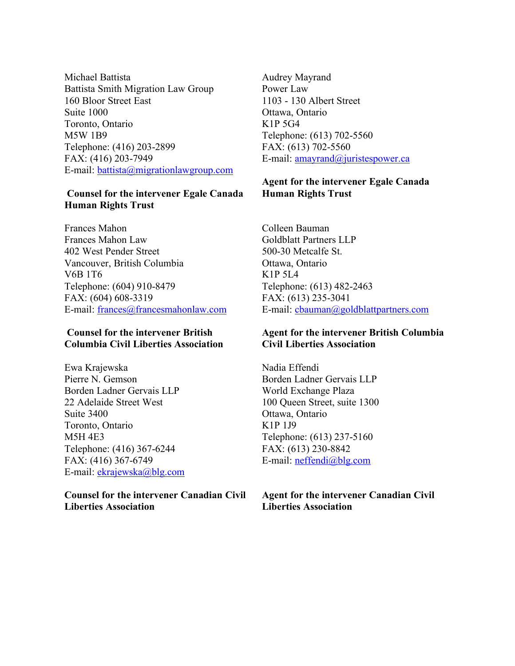Michael Battista Battista Smith Migration Law Group 160 Bloor Street East Suite 1000 Toronto, Ontario M5W 1B9 Telephone: (416) 203-2899 FAX: (416) 203-7949 E-mail: battista@migrationlawgroup.com

#### **Counsel for the intervener Egale Canada Human Rights Trust**

Frances Mahon Frances Mahon Law 402 West Pender Street Vancouver, British Columbia V6B 1T6 Telephone: (604) 910-8479 FAX: (604) 608-3319 E-mail: frances@francesmahonlaw.com

#### **Counsel for the intervener British Columbia Civil Liberties Association**

Ewa Krajewska Pierre N. Gemson Borden Ladner Gervais LLP 22 Adelaide Street West Suite 3400 Toronto, Ontario M5H 4E3 Telephone: (416) 367-6244 FAX: (416) 367-6749 E-mail: ekrajewska@blg.com

### **Counsel for the intervener Canadian Civil Liberties Association**

Audrey Mayrand Power Law 1103 - 130 Albert Street Ottawa, Ontario K1P 5G4 Telephone: (613) 702-5560 FAX: (613) 702-5560 E-mail: amayrand@juristespower.ca

## **Agent for the intervener Egale Canada Human Rights Trust**

Colleen Bauman Goldblatt Partners LLP 500-30 Metcalfe St. Ottawa, Ontario K1P 5L4 Telephone: (613) 482-2463 FAX: (613) 235-3041 E-mail: cbauman@goldblattpartners.com

## **Agent for the intervener British Columbia Civil Liberties Association**

Nadia Effendi Borden Ladner Gervais LLP World Exchange Plaza 100 Queen Street, suite 1300 Ottawa, Ontario K1P 1J9 Telephone: (613) 237-5160 FAX: (613) 230-8842 E-mail: neffendi@blg.com

**Agent for the intervener Canadian Civil Liberties Association**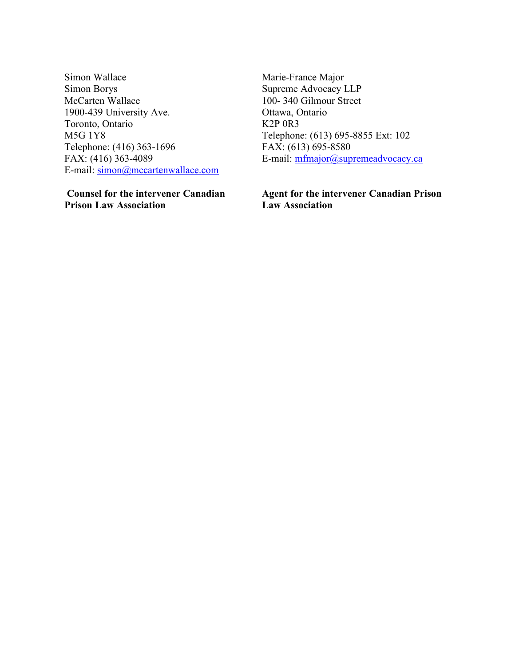Simon Wallace Simon Borys McCarten Wallace 1900-439 University Ave. Toronto, Ontario M5G 1Y8 Telephone: (416) 363-1696 FAX: (416) 363-4089 E-mail: simon@mccartenwallace.com

 **Counsel for the intervener Canadian Prison Law Association**

Marie-France Major Supreme Advocacy LLP 100- 340 Gilmour Street Ottawa, Ontario K2P 0R3 Telephone: (613) 695-8855 Ext: 102 FAX: (613) 695-8580 E-mail: mfmajor@supremeadvocacy.ca

**Agent for the intervener Canadian Prison Law Association**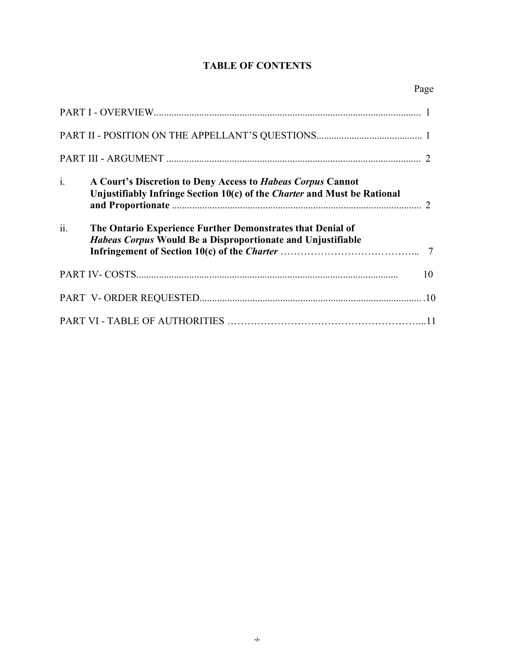## **TABLE OF CONTENTS**

| $\mathbf{i}$ . | A Court's Discretion to Deny Access to Habeas Corpus Cannot<br>Unjustifiably Infringe Section 10(c) of the Charter and Must be Rational |    |
|----------------|-----------------------------------------------------------------------------------------------------------------------------------------|----|
| ii.            | The Ontario Experience Further Demonstrates that Denial of<br><i>Habeas Corpus</i> Would Be a Disproportionate and Unjustifiable        |    |
|                |                                                                                                                                         | 10 |
|                |                                                                                                                                         |    |
|                |                                                                                                                                         |    |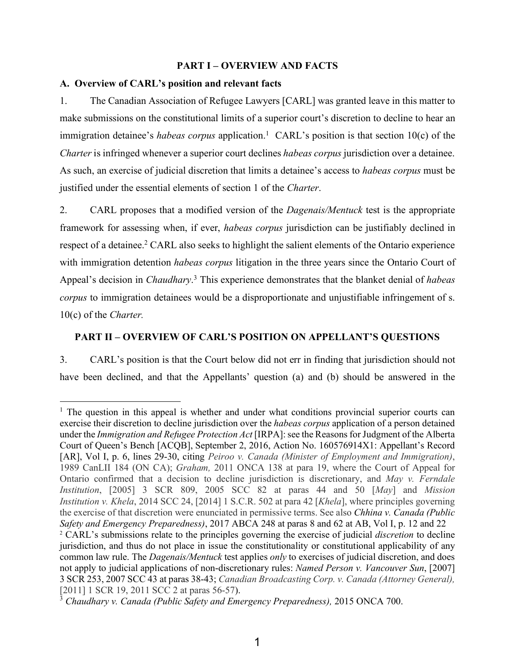#### **PART I – OVERVIEW AND FACTS**

#### **A. Overview of CARL's position and relevant facts**

 $\overline{a}$ 

1. The Canadian Association of Refugee Lawyers [CARL] was granted leave in this matter to make submissions on the constitutional limits of a superior court's discretion to decline to hear an immigration detainee's *habeas corpus* application.<sup>1</sup> CARL's position is that section 10(c) of the *Charter* is infringed whenever a superior court declines *habeas corpus* jurisdiction over a detainee. As such, an exercise of judicial discretion that limits a detainee's access to *habeas corpus* must be justified under the essential elements of section 1 of the *Charter*.

2. CARL proposes that a modified version of the *Dagenais/Mentuck* test is the appropriate framework for assessing when, if ever, *habeas corpus* jurisdiction can be justifiably declined in respect of a detainee.<sup>2</sup> CARL also seeks to highlight the salient elements of the Ontario experience with immigration detention *habeas corpus* litigation in the three years since the Ontario Court of Appeal's decision in *Chaudhary*. 3 This experience demonstrates that the blanket denial of *habeas corpus* to immigration detainees would be a disproportionate and unjustifiable infringement of s. 10(c) of the *Charter.*

## **PART II – OVERVIEW OF CARL'S POSITION ON APPELLANT'S QUESTIONS**

3. CARL's position is that the Court below did not err in finding that jurisdiction should not have been declined, and that the Appellants' question (a) and (b) should be answered in the

<sup>&</sup>lt;sup>1</sup> The question in this appeal is whether and under what conditions provincial superior courts can exercise their discretion to decline jurisdiction over the *habeas corpus* application of a person detained under the *Immigration and Refugee Protection Act* [IRPA]: see the Reasons for Judgment of the Alberta Court of Queen's Bench [ACQB], September 2, 2016, Action No. 160576914X1: Appellant's Record [AR], Vol I, p. 6, lines 29-30, citing *Peiroo v. Canada (Minister of Employment and Immigration)*, 1989 CanLII 184 (ON CA); *Graham,* 2011 ONCA 138 at para 19, where the Court of Appeal for Ontario confirmed that a decision to decline jurisdiction is discretionary, and *May v. Ferndale Institution*, [2005] 3 SCR 809, 2005 SCC 82 at paras 44 and 50 [*May*] and *Mission Institution v. Khela*, 2014 SCC 24, [2014] 1 S.C.R. 502 at para 42 [*Khela*], where principles governing the exercise of that discretion were enunciated in permissive terms. See also *Chhina v. Canada (Public Safety and Emergency Preparedness)*, 2017 ABCA 248 at paras 8 and 62 at AB, Vol I, p. 12 and 22 <sup>2</sup> CARL's submissions relate to the principles governing the exercise of judicial *discretion* to decline jurisdiction, and thus do not place in issue the constitutionality or constitutional applicability of any common law rule. The *Dagenais/Mentuck* test applies *only* to exercises of judicial discretion, and does not apply to judicial applications of non-discretionary rules: *Named Person v. Vancouver Sun*, [2007] 3 SCR 253, 2007 SCC 43 at paras 38-43; *Canadian Broadcasting Corp. v. Canada (Attorney General),* [2011] 1 SCR 19, 2011 SCC 2 at paras 56-57).

<sup>3</sup> *Chaudhary v. Canada (Public Safety and Emergency Preparedness),* 2015 ONCA 700.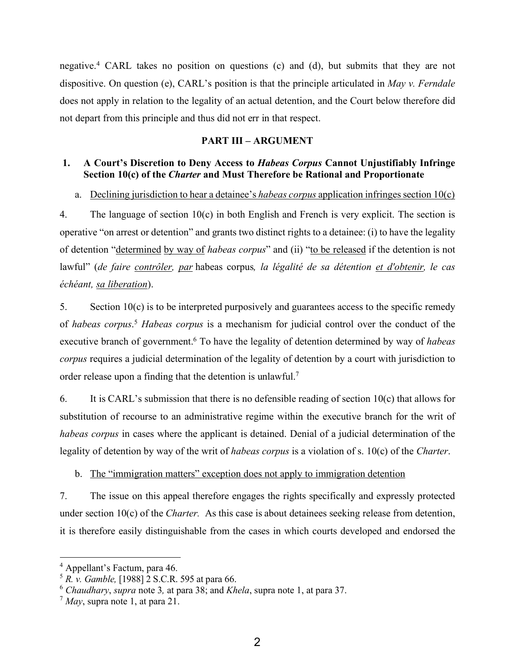negative.4 CARL takes no position on questions (c) and (d), but submits that they are not dispositive. On question (e), CARL's position is that the principle articulated in *May v. Ferndale* does not apply in relation to the legality of an actual detention, and the Court below therefore did not depart from this principle and thus did not err in that respect.

## **PART III – ARGUMENT**

## **1. A Court's Discretion to Deny Access to** *Habeas Corpus* **Cannot Unjustifiably Infringe Section 10(c) of the** *Charter* **and Must Therefore be Rational and Proportionate**

## a. Declining jurisdiction to hear a detainee's *habeas corpus* application infringes section 10(c)

4. The language of section 10(c) in both English and French is very explicit. The section is operative "on arrest or detention" and grants two distinct rights to a detainee: (i) to have the legality of detention "determined by way of *habeas corpus*" and (ii) "to be released if the detention is not lawful" (*de faire contrôler, par* habeas corpus*, la légalité de sa détention et d'obtenir, le cas échéant, sa liberation*).

5. Section 10(c) is to be interpreted purposively and guarantees access to the specific remedy of *habeas corpus*. <sup>5</sup> *Habeas corpus* is a mechanism for judicial control over the conduct of the executive branch of government.<sup>6</sup> To have the legality of detention determined by way of *habeas corpus* requires a judicial determination of the legality of detention by a court with jurisdiction to order release upon a finding that the detention is unlawful.<sup>7</sup>

6. It is CARL's submission that there is no defensible reading of section 10(c) that allows for substitution of recourse to an administrative regime within the executive branch for the writ of *habeas corpus* in cases where the applicant is detained. Denial of a judicial determination of the legality of detention by way of the writ of *habeas corpus* is a violation of s. 10(c) of the *Charter*.

b. The "immigration matters" exception does not apply to immigration detention

7. The issue on this appeal therefore engages the rights specifically and expressly protected under section 10(c) of the *Charter.* As this case is about detainees seeking release from detention, it is therefore easily distinguishable from the cases in which courts developed and endorsed the

<sup>4</sup> Appellant's Factum, para 46.

<sup>5</sup> *R. v. Gamble,* [1988] 2 S.C.R. 595 at para 66.

<sup>6</sup> *Chaudhary*, *supra* note 3*,* at para 38; and *Khela*, supra note 1, at para 37.

<sup>7</sup> *May*, supra note 1, at para 21.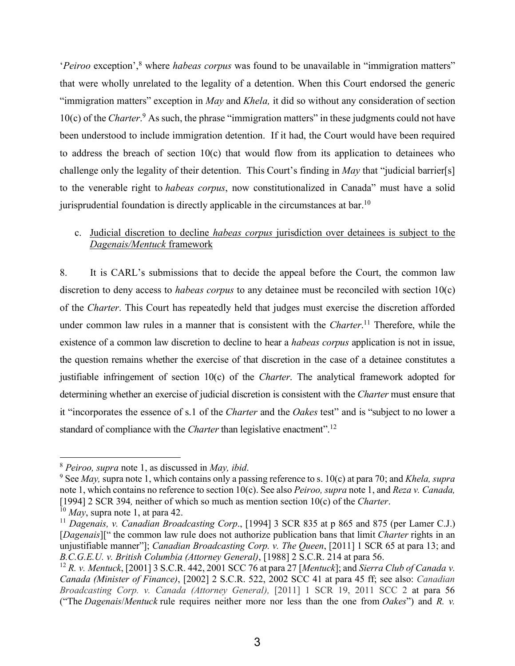'*Peiroo* exception',<sup>8</sup> where *habeas corpus* was found to be unavailable in "immigration matters" that were wholly unrelated to the legality of a detention. When this Court endorsed the generic "immigration matters" exception in *May* and *Khela,* it did so without any consideration of section 10(c) of the *Charter*. 9 As such, the phrase "immigration matters" in these judgments could not have been understood to include immigration detention. If it had, the Court would have been required to address the breach of section 10(c) that would flow from its application to detainees who challenge only the legality of their detention. This Court's finding in *May* that "judicial barrier[s] to the venerable right to *habeas corpus*, now constitutionalized in Canada" must have a solid jurisprudential foundation is directly applicable in the circumstances at bar.<sup>10</sup>

## c. Judicial discretion to decline *habeas corpus* jurisdiction over detainees is subject to the *Dagenais/Mentuck* framework

8. It is CARL's submissions that to decide the appeal before the Court, the common law discretion to deny access to *habeas corpus* to any detainee must be reconciled with section 10(c) of the *Charter*. This Court has repeatedly held that judges must exercise the discretion afforded under common law rules in a manner that is consistent with the *Charter*. <sup>11</sup> Therefore, while the existence of a common law discretion to decline to hear a *habeas corpus* application is not in issue, the question remains whether the exercise of that discretion in the case of a detainee constitutes a justifiable infringement of section 10(c) of the *Charter*. The analytical framework adopted for determining whether an exercise of judicial discretion is consistent with the *Charter* must ensure that it "incorporates the essence of s.1 of the *Charter* and the *Oakes* test" and is "subject to no lower a standard of compliance with the *Charter* than legislative enactment".<sup>12</sup>

<sup>8</sup> *Peiroo, supra* note 1, as discussed in *May, ibid*. 9 See *May,* supra note 1, which contains only a passing reference to s. 10(c) at para 70; and *Khela, supra*  note 1, which contains no reference to section 10(c). See also *Peiroo, supra* note 1, and *Reza v. Canada,*  [1994] 2 SCR 394*,* neither of which so much as mention section 10(c) of the *Charter*. 10 *May*, supra note 1, at para 42.

<sup>11</sup> *Dagenais, v. Canadian Broadcasting Corp*., [1994] 3 SCR 835 at p 865 and 875 (per Lamer C.J.) [*Dagenais*][" the common law rule does not authorize publication bans that limit *Charter* rights in an unjustifiable manner"]; *Canadian Broadcasting Corp. v. The Queen*, [2011] 1 SCR 65 at para 13; and *B.C.G.E.U. v. British Columbia (Attorney General)*, [1988] 2 S.C.R. 214 at para 56.

<sup>12</sup> *R. v. Mentuck*, [2001] 3 S.C.R. 442, 2001 SCC 76 at para 27 [*Mentuck*]; and *Sierra Club of Canada v. Canada (Minister of Finance)*, [2002] 2 S.C.R. 522, 2002 SCC 41 at para 45 ff; see also: *Canadian Broadcasting Corp. v. Canada (Attorney General),* [2011] 1 SCR 19, 2011 SCC 2 at para 56 ("The *Dagenais*/*Mentuck* rule requires neither more nor less than the one from *Oakes*") and *R. v.*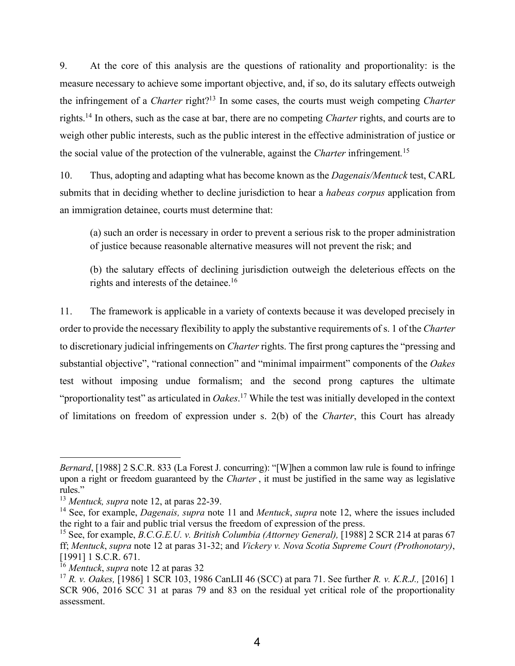9. At the core of this analysis are the questions of rationality and proportionality: is the measure necessary to achieve some important objective, and, if so, do its salutary effects outweigh the infringement of a *Charter* right?13 In some cases, the courts must weigh competing *Charter*  rights.14 In others, such as the case at bar, there are no competing *Charter* rights, and courts are to weigh other public interests, such as the public interest in the effective administration of justice or the social value of the protection of the vulnerable, against the *Charter* infringement*.* 15

10. Thus, adopting and adapting what has become known as the *Dagenais/Mentuck* test, CARL submits that in deciding whether to decline jurisdiction to hear a *habeas corpus* application from an immigration detainee, courts must determine that:

(a) such an order is necessary in order to prevent a serious risk to the proper administration of justice because reasonable alternative measures will not prevent the risk; and

(b) the salutary effects of declining jurisdiction outweigh the deleterious effects on the rights and interests of the detainee.16

11. The framework is applicable in a variety of contexts because it was developed precisely in order to provide the necessary flexibility to apply the substantive requirements of s. 1 of the *Charter* to discretionary judicial infringements on *Charter* rights. The first prong captures the "pressing and substantial objective", "rational connection" and "minimal impairment" components of the *Oakes* test without imposing undue formalism; and the second prong captures the ultimate "proportionality test" as articulated in *Oakes*. 17 While the test was initially developed in the context of limitations on freedom of expression under s. 2(b) of the *Charter*, this Court has already

*Bernard*, [1988] 2 S.C.R. 833 (La Forest J. concurring): "[W]hen a common law rule is found to infringe upon a right or freedom guaranteed by the *Charter* , it must be justified in the same way as legislative rules."

<sup>13</sup> *Mentuck, supra* note 12, at paras 22-39.

<sup>14</sup> See, for example, *Dagenais, supra* note 11 and *Mentuck*, *supra* note 12, where the issues included the right to a fair and public trial versus the freedom of expression of the press.

<sup>15</sup> See, for example, *B.C.G.E.U. v. British Columbia (Attorney General),* [1988] 2 SCR 214 at paras 67 ff; *Mentuck*, *supra* note 12 at paras 31-32; and *Vickery v. Nova Scotia Supreme Court (Prothonotary)*, [1991] 1 S.C.R. 671.

<sup>16</sup> *Mentuck*, *supra* note 12 at paras 32

<sup>17</sup> *R. v. Oakes,* [1986] 1 SCR 103, 1986 CanLII 46 (SCC) at para 71. See further *R. v. K.R.J.,* [2016] 1 SCR 906, 2016 SCC 31 at paras 79 and 83 on the residual yet critical role of the proportionality assessment.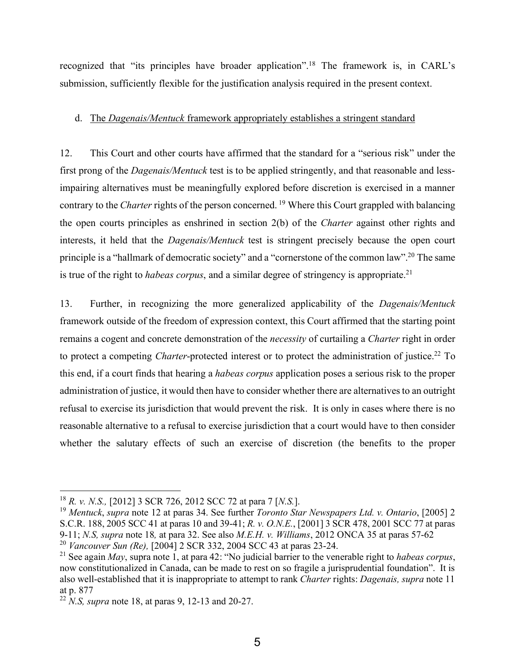recognized that "its principles have broader application".18 The framework is, in CARL's submission, sufficiently flexible for the justification analysis required in the present context.

#### d. The *Dagenais/Mentuck* framework appropriately establishes a stringent standard

12. This Court and other courts have affirmed that the standard for a "serious risk" under the first prong of the *Dagenais/Mentuck* test is to be applied stringently, and that reasonable and lessimpairing alternatives must be meaningfully explored before discretion is exercised in a manner contrary to the *Charter* rights of the person concerned. 19 Where this Court grappled with balancing the open courts principles as enshrined in section 2(b) of the *Charter* against other rights and interests, it held that the *Dagenais/Mentuck* test is stringent precisely because the open court principle is a "hallmark of democratic society" and a "cornerstone of the common law".20 The same is true of the right to *habeas corpus*, and a similar degree of stringency is appropriate.<sup>21</sup>

13. Further, in recognizing the more generalized applicability of the *Dagenais/Mentuck* framework outside of the freedom of expression context, this Court affirmed that the starting point remains a cogent and concrete demonstration of the *necessity* of curtailing a *Charter* right in order to protect a competing *Charter*-protected interest or to protect the administration of justice.<sup>22</sup> To this end, if a court finds that hearing a *habeas corpus* application poses a serious risk to the proper administration of justice, it would then have to consider whether there are alternatives to an outright refusal to exercise its jurisdiction that would prevent the risk. It is only in cases where there is no reasonable alternative to a refusal to exercise jurisdiction that a court would have to then consider whether the salutary effects of such an exercise of discretion (the benefits to the proper

<sup>18</sup> *R. v. N.S.,* [2012] 3 SCR 726, 2012 SCC 72 at para 7 [*N.S.*].

<sup>19</sup> *Mentuck*, *supra* note 12 at paras 34. See further *Toronto Star Newspapers Ltd. v. Ontario*, [2005] 2 S.C.R. 188, 2005 SCC 41 at paras 10 and 39-41; *R. v. O.N.E.*, [2001] 3 SCR 478, 2001 SCC 77 at paras 9-11; *N.S, supra* note 18*,* at para 32. See also *M.E.H. v. Williams*, 2012 ONCA 35 at paras 57-62 <sup>20</sup> *Vancouver Sun (Re),* [2004] 2 SCR 332, 2004 SCC 43 at paras 23-24.

<sup>21</sup> See again *May*, supra note 1, at para 42: "No judicial barrier to the venerable right to *habeas corpus*, now constitutionalized in Canada, can be made to rest on so fragile a jurisprudential foundation". It is also well-established that it is inappropriate to attempt to rank *Charter* rights: *Dagenais, supra* note 11 at p. 877

<sup>22</sup> *N.S, supra* note 18, at paras 9, 12-13 and 20-27.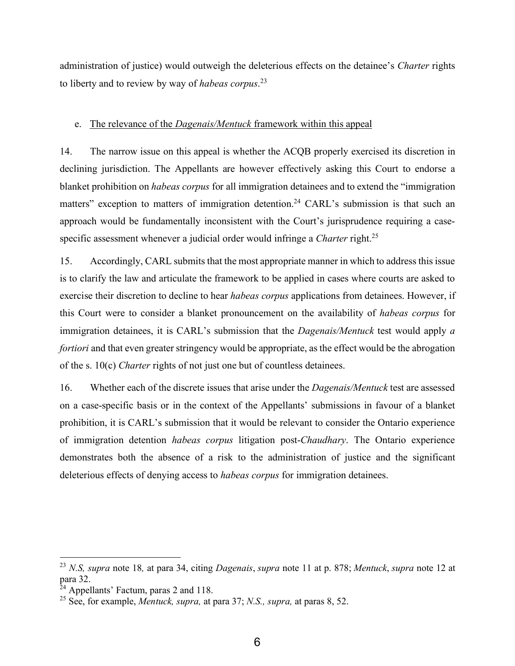administration of justice) would outweigh the deleterious effects on the detainee's *Charter* rights to liberty and to review by way of *habeas corpus*. 23

#### e. The relevance of the *Dagenais/Mentuck* framework within this appeal

14. The narrow issue on this appeal is whether the ACQB properly exercised its discretion in declining jurisdiction. The Appellants are however effectively asking this Court to endorse a blanket prohibition on *habeas corpus* for all immigration detainees and to extend the "immigration matters" exception to matters of immigration detention.<sup>24</sup> CARL's submission is that such an approach would be fundamentally inconsistent with the Court's jurisprudence requiring a casespecific assessment whenever a judicial order would infringe a *Charter* right.<sup>25</sup>

15. Accordingly, CARL submits that the most appropriate manner in which to address this issue is to clarify the law and articulate the framework to be applied in cases where courts are asked to exercise their discretion to decline to hear *habeas corpus* applications from detainees. However, if this Court were to consider a blanket pronouncement on the availability of *habeas corpus* for immigration detainees, it is CARL's submission that the *Dagenais/Mentuck* test would apply *a fortiori* and that even greater stringency would be appropriate, as the effect would be the abrogation of the s. 10(c) *Charter* rights of not just one but of countless detainees.

16. Whether each of the discrete issues that arise under the *Dagenais/Mentuck* test are assessed on a case-specific basis or in the context of the Appellants' submissions in favour of a blanket prohibition, it is CARL's submission that it would be relevant to consider the Ontario experience of immigration detention *habeas corpus* litigation post-*Chaudhary*. The Ontario experience demonstrates both the absence of a risk to the administration of justice and the significant deleterious effects of denying access to *habeas corpus* for immigration detainees.

<sup>23</sup> *N.S, supra* note 18*,* at para 34, citing *Dagenais*, *supra* note 11 at p. 878; *Mentuck*, *supra* note 12 at para 32.

 $^{24}$  Appellants' Factum, paras 2 and 118.

<sup>25</sup> See, for example, *Mentuck, supra,* at para 37; *N.S., supra,* at paras 8, 52.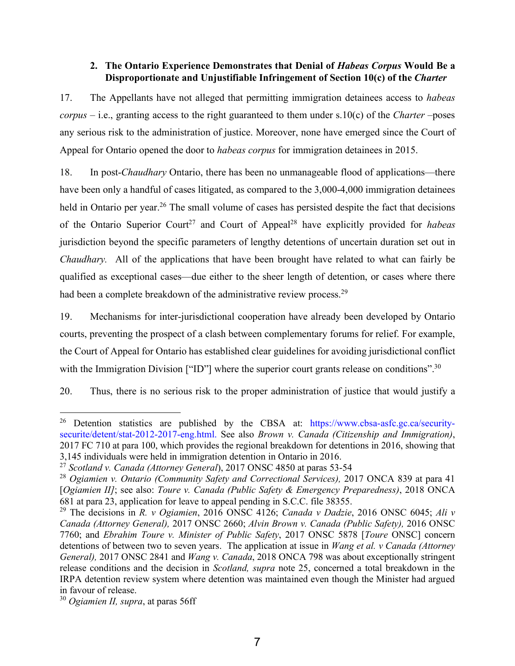## **2. The Ontario Experience Demonstrates that Denial of** *Habeas Corpus* **Would Be a Disproportionate and Unjustifiable Infringement of Section 10(c) of the** *Charter*

17. The Appellants have not alleged that permitting immigration detainees access to *habeas corpus* – i.e., granting access to the right guaranteed to them under s.10(c) of the *Charter* –poses any serious risk to the administration of justice. Moreover, none have emerged since the Court of Appeal for Ontario opened the door to *habeas corpus* for immigration detainees in 2015.

18. In post-*Chaudhary* Ontario, there has been no unmanageable flood of applications—there have been only a handful of cases litigated, as compared to the 3,000-4,000 immigration detainees held in Ontario per year.<sup>26</sup> The small volume of cases has persisted despite the fact that decisions of the Ontario Superior Court<sup>27</sup> and Court of Appeal<sup>28</sup> have explicitly provided for *habeas* jurisdiction beyond the specific parameters of lengthy detentions of uncertain duration set out in *Chaudhary.* All of the applications that have been brought have related to what can fairly be qualified as exceptional cases—due either to the sheer length of detention, or cases where there had been a complete breakdown of the administrative review process.<sup>29</sup>

19. Mechanisms for inter-jurisdictional cooperation have already been developed by Ontario courts, preventing the prospect of a clash between complementary forums for relief. For example, the Court of Appeal for Ontario has established clear guidelines for avoiding jurisdictional conflict with the Immigration Division ["ID"] where the superior court grants release on conditions".<sup>30</sup>

20. Thus, there is no serious risk to the proper administration of justice that would justify a

<sup>&</sup>lt;sup>26</sup> Detention statistics are published by the CBSA at: https://www.cbsa-asfc.gc.ca/securitysecurite/detent/stat-2012-2017-eng.html. See also *Brown v. Canada (Citizenship and Immigration)*, 2017 FC 710 at para 100, which provides the regional breakdown for detentions in 2016, showing that 3,145 individuals were held in immigration detention in Ontario in 2016.

<sup>27</sup> *Scotland v. Canada (Attorney General*), 2017 ONSC 4850 at paras 53-54

<sup>28</sup> *Ogiamien v. Ontario (Community Safety and Correctional Services),* 2017 ONCA 839 at para 41 [*Ogiamien II]*; see also: *Toure v. Canada (Public Safety & Emergency Preparedness)*, 2018 ONCA 681 at para 23, application for leave to appeal pending in S.C.C. file 38355.

<sup>29</sup> The decisions in *R. v Ogiamien*, 2016 ONSC 4126; *Canada v Dadzie*, 2016 ONSC 6045; *Ali v Canada (Attorney General),* 2017 ONSC 2660; *Alvin Brown v. Canada (Public Safety),* 2016 ONSC 7760; and *Ebrahim Toure v. Minister of Public Safety*, 2017 ONSC 5878 [*Toure* ONSC] concern detentions of between two to seven years. The application at issue in *Wang et al. v Canada (Attorney General),* 2017 ONSC 2841 and *Wang v. Canada*, 2018 ONCA 798 was about exceptionally stringent release conditions and the decision in *Scotland, supra* note 25, concerned a total breakdown in the IRPA detention review system where detention was maintained even though the Minister had argued in favour of release.

<sup>30</sup> *Ogiamien II, supra*, at paras 56ff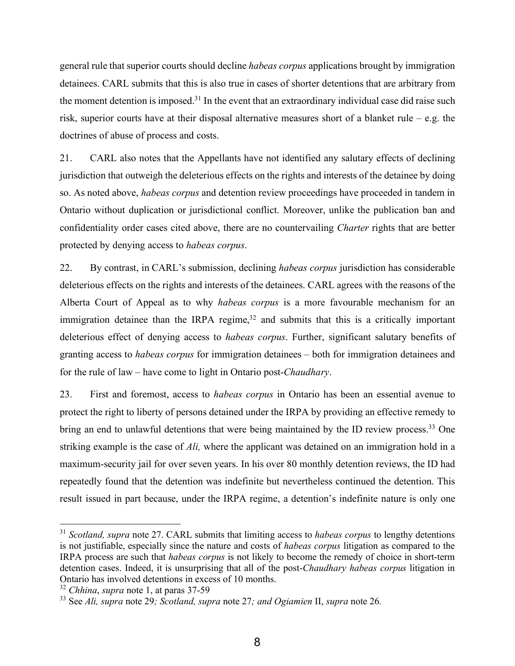general rule that superior courts should decline *habeas corpus* applications brought by immigration detainees. CARL submits that this is also true in cases of shorter detentions that are arbitrary from the moment detention is imposed.<sup>31</sup> In the event that an extraordinary individual case did raise such risk, superior courts have at their disposal alternative measures short of a blanket rule – e.g. the doctrines of abuse of process and costs.

21. CARL also notes that the Appellants have not identified any salutary effects of declining jurisdiction that outweigh the deleterious effects on the rights and interests of the detainee by doing so. As noted above, *habeas corpus* and detention review proceedings have proceeded in tandem in Ontario without duplication or jurisdictional conflict. Moreover, unlike the publication ban and confidentiality order cases cited above, there are no countervailing *Charter* rights that are better protected by denying access to *habeas corpus*.

22. By contrast, in CARL's submission, declining *habeas corpus* jurisdiction has considerable deleterious effects on the rights and interests of the detainees. CARL agrees with the reasons of the Alberta Court of Appeal as to why *habeas corpus* is a more favourable mechanism for an immigration detainee than the IRPA regime, $32$  and submits that this is a critically important deleterious effect of denying access to *habeas corpus*. Further, significant salutary benefits of granting access to *habeas corpus* for immigration detainees – both for immigration detainees and for the rule of law – have come to light in Ontario post-*Chaudhary*.

23. First and foremost, access to *habeas corpus* in Ontario has been an essential avenue to protect the right to liberty of persons detained under the IRPA by providing an effective remedy to bring an end to unlawful detentions that were being maintained by the ID review process.<sup>33</sup> One striking example is the case of *Ali,* where the applicant was detained on an immigration hold in a maximum-security jail for over seven years. In his over 80 monthly detention reviews, the ID had repeatedly found that the detention was indefinite but nevertheless continued the detention. This result issued in part because, under the IRPA regime, a detention's indefinite nature is only one

<sup>31</sup> *Scotland, supra* note 27. CARL submits that limiting access to *habeas corpus* to lengthy detentions is not justifiable, especially since the nature and costs of *habeas corpus* litigation as compared to the IRPA process are such that *habeas corpus* is not likely to become the remedy of choice in short-term detention cases. Indeed, it is unsurprising that all of the post-*Chaudhary habeas corpus* litigation in Ontario has involved detentions in excess of 10 months.

<sup>32</sup> *Chhina*, *supra* note 1, at paras 37-59

<sup>33</sup> See *Ali, supra* note 29*; Scotland, supra* note 27*; and Ogiamien* II, *supra* note 26*.*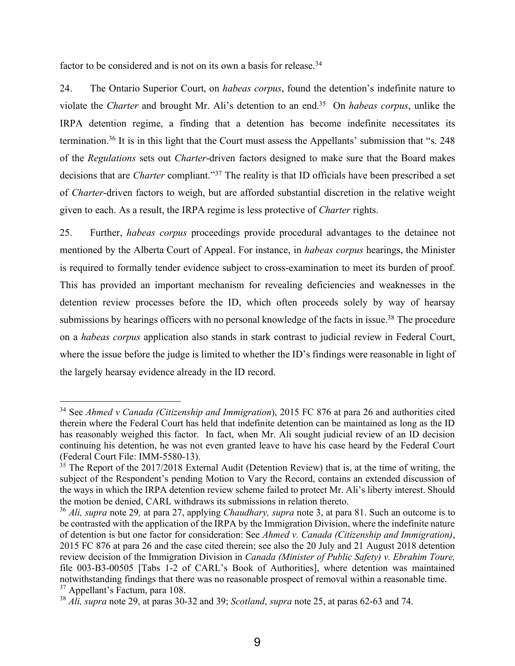factor to be considered and is not on its own a basis for release.<sup>34</sup>

 $\overline{a}$ 

24. The Ontario Superior Court, on *habeas corpus*, found the detention's indefinite nature to violate the *Charter* and brought Mr. Ali's detention to an end.35 On *habeas corpus*, unlike the IRPA detention regime, a finding that a detention has become indefinite necessitates its termination.36 It is in this light that the Court must assess the Appellants' submission that "s. 248 of the *Regulations* sets out *Charter*-driven factors designed to make sure that the Board makes decisions that are *Charter* compliant."37 The reality is that ID officials have been prescribed a set of *Charter*-driven factors to weigh, but are afforded substantial discretion in the relative weight given to each. As a result, the IRPA regime is less protective of *Charter* rights.

25. Further, *habeas corpus* proceedings provide procedural advantages to the detainee not mentioned by the Alberta Court of Appeal. For instance, in *habeas corpus* hearings, the Minister is required to formally tender evidence subject to cross-examination to meet its burden of proof. This has provided an important mechanism for revealing deficiencies and weaknesses in the detention review processes before the ID, which often proceeds solely by way of hearsay submissions by hearings officers with no personal knowledge of the facts in issue.<sup>38</sup> The procedure on a *habeas corpus* application also stands in stark contrast to judicial review in Federal Court, where the issue before the judge is limited to whether the ID's findings were reasonable in light of the largely hearsay evidence already in the ID record.

<sup>34</sup> See *Ahmed v Canada (Citizenship and Immigration*), 2015 FC 876 at para 26 and authorities cited therein where the Federal Court has held that indefinite detention can be maintained as long as the ID has reasonably weighed this factor. In fact, when Mr. Ali sought judicial review of an ID decision continuing his detention, he was not even granted leave to have his case heard by the Federal Court (Federal Court File: IMM-5580-13).

 $35$  The Report of the 2017/2018 External Audit (Detention Review) that is, at the time of writing, the subject of the Respondent's pending Motion to Vary the Record, contains an extended discussion of the ways in which the IRPA detention review scheme failed to protect Mr. Ali's liberty interest. Should the motion be denied, CARL withdraws its submissions in relation thereto.

<sup>36</sup> *Ali, supra* note 29*,* at para 27, applying *Chaudhary, supra* note 3, at para 81. Such an outcome is to be contrasted with the application of the IRPA by the Immigration Division, where the indefinite nature of detention is but one factor for consideration: See *Ahmed v. Canada (Citizenship and Immigration)*, 2015 FC 876 at para 26 and the case cited therein; see also the 20 July and 21 August 2018 detention review decision of the Immigration Division in *Canada (Minister of Public Safety) v. Ebrahim Toure,* file 003-B3-00505 [Tabs 1-2 of CARL's Book of Authorities], where detention was maintained notwithstanding findings that there was no reasonable prospect of removal within a reasonable time. <sup>37</sup> Appellant's Factum, para 108.

<sup>38</sup> *Ali, supra* note 29, at paras 30-32 and 39; *Scotland*, *supra* note 25, at paras 62-63 and 74.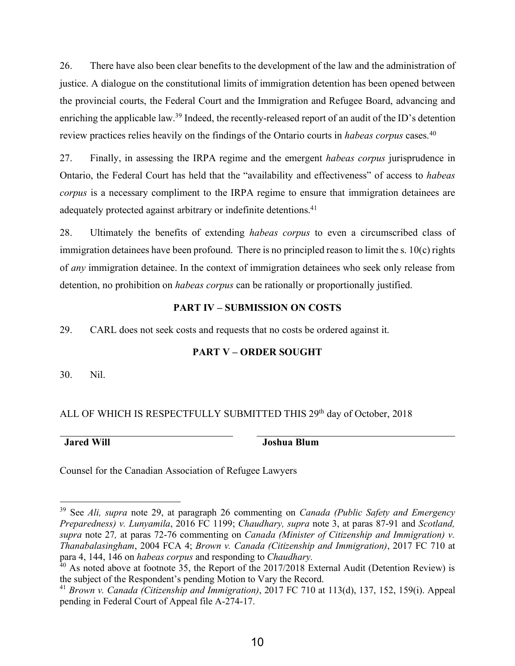26. There have also been clear benefits to the development of the law and the administration of justice. A dialogue on the constitutional limits of immigration detention has been opened between the provincial courts, the Federal Court and the Immigration and Refugee Board, advancing and enriching the applicable law.<sup>39</sup> Indeed, the recently-released report of an audit of the ID's detention review practices relies heavily on the findings of the Ontario courts in *habeas corpus* cases.40

27. Finally, in assessing the IRPA regime and the emergent *habeas corpus* jurisprudence in Ontario, the Federal Court has held that the "availability and effectiveness" of access to *habeas corpus* is a necessary compliment to the IRPA regime to ensure that immigration detainees are adequately protected against arbitrary or indefinite detentions.<sup>41</sup>

28. Ultimately the benefits of extending *habeas corpus* to even a circumscribed class of immigration detainees have been profound. There is no principled reason to limit the s. 10(c) rights of *any* immigration detainee. In the context of immigration detainees who seek only release from detention, no prohibition on *habeas corpus* can be rationally or proportionally justified.

## **PART IV – SUBMISSION ON COSTS**

29. CARL does not seek costs and requests that no costs be ordered against it.

## **PART V – ORDER SOUGHT**

30. Nil.

## ALL OF WHICH IS RESPECTFULLY SUBMITTED THIS 29<sup>th</sup> day of October, 2018

 $\overline{a}$ 

**Jared Will Joshua Blum** 

Counsel for the Canadian Association of Refugee Lawyers

<sup>39</sup> See *Ali, supra* note 29, at paragraph 26 commenting on *Canada (Public Safety and Emergency Preparedness) v. Lunyamila*, 2016 FC 1199; *Chaudhary, supra* note 3, at paras 87-91 and *Scotland, supra* note 27*,* at paras 72-76 commenting on *Canada (Minister of Citizenship and Immigration) v. Thanabalasingham*, 2004 FCA 4; *Brown v. Canada (Citizenship and Immigration)*, 2017 FC 710 at para 4, 144, 146 on *habeas corpus* and responding to *Chaudhary.*

 $40$  As noted above at footnote 35, the Report of the 2017/2018 External Audit (Detention Review) is the subject of the Respondent's pending Motion to Vary the Record.

<sup>41</sup> *Brown v. Canada (Citizenship and Immigration)*, 2017 FC 710 at 113(d), 137, 152, 159(i). Appeal pending in Federal Court of Appeal file A-274-17.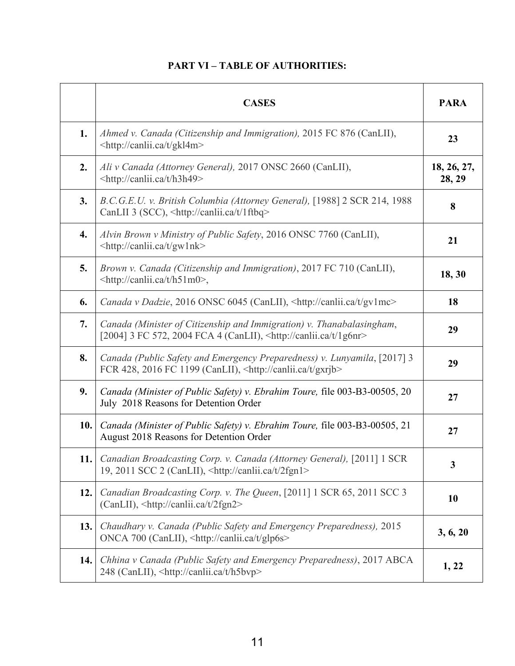## **PART VI – TABLE OF AUTHORITIES:**

|     | <b>CASES</b>                                                                                                                                              | <b>PARA</b>           |
|-----|-----------------------------------------------------------------------------------------------------------------------------------------------------------|-----------------------|
| 1.  | Ahmed v. Canada (Citizenship and Immigration), 2015 FC 876 (CanLII),<br><http: canlii.ca="" gkl4m="" t=""></http:>                                        | 23                    |
| 2.  | Ali v Canada (Attorney General), 2017 ONSC 2660 (CanLII),<br><http: canlii.ca="" h3h49="" t=""></http:>                                                   | 18, 26, 27,<br>28, 29 |
| 3.  | B.C.G.E.U. v. British Columbia (Attorney General), [1988] 2 SCR 214, 1988<br>CanLII 3 (SCC), <http: 1ftbq="" canlii.ca="" t=""></http:>                   | 8                     |
| 4.  | Alvin Brown v Ministry of Public Safety, 2016 ONSC 7760 (CanLII),<br><http: canlii.ca="" gw1nk="" t=""></http:>                                           | 21                    |
| 5.  | Brown v. Canada (Citizenship and Immigration), 2017 FC 710 (CanLII),<br><http: canlii.ca="" h51m0="" t="">,</http:>                                       | 18, 30                |
| 6.  | Canada v Dadzie, 2016 ONSC 6045 (CanLII), <http: canlii.ca="" gv1mc="" t=""></http:>                                                                      | 18                    |
| 7.  | Canada (Minister of Citizenship and Immigration) v. Thanabalasingham,<br>[2004] 3 FC 572, 2004 FCA 4 (CanLII), <http: 1g6nr="" canlii.ca="" t=""></http:> | 29                    |
| 8.  | Canada (Public Safety and Emergency Preparedness) v. Lunyamila, [2017] 3<br>FCR 428, 2016 FC 1199 (CanLII), <http: canlii.ca="" gxrjb="" t=""></http:>    | 29                    |
| 9.  | Canada (Minister of Public Safety) v. Ebrahim Toure, file 003-B3-00505, 20<br>July 2018 Reasons for Detention Order                                       | 27                    |
| 10. | Canada (Minister of Public Safety) v. Ebrahim Toure, file 003-B3-00505, 21<br>August 2018 Reasons for Detention Order                                     | 27                    |
| 11. | Canadian Broadcasting Corp. v. Canada (Attorney General), [2011] 1 SCR<br>19, 2011 SCC 2 (CanLII), <http: 2fgn1="" canlii.ca="" t=""></http:>             | $\mathbf{3}$          |
| 12. | Canadian Broadcasting Corp. v. The Queen, [2011] 1 SCR 65, 2011 SCC 3<br>(CanLII), <http: 2fgn2="" canlii.ca="" t=""></http:>                             | 10                    |
| 13. | Chaudhary v. Canada (Public Safety and Emergency Preparedness), 2015<br>ONCA 700 (CanLII), <http: canlii.ca="" glp6s="" t=""></http:>                     | 3, 6, 20              |
| 14. | Chhina v Canada (Public Safety and Emergency Preparedness), 2017 ABCA<br>248 (CanLII), <http: canlii.ca="" h5bvp="" t=""></http:>                         | 1, 22                 |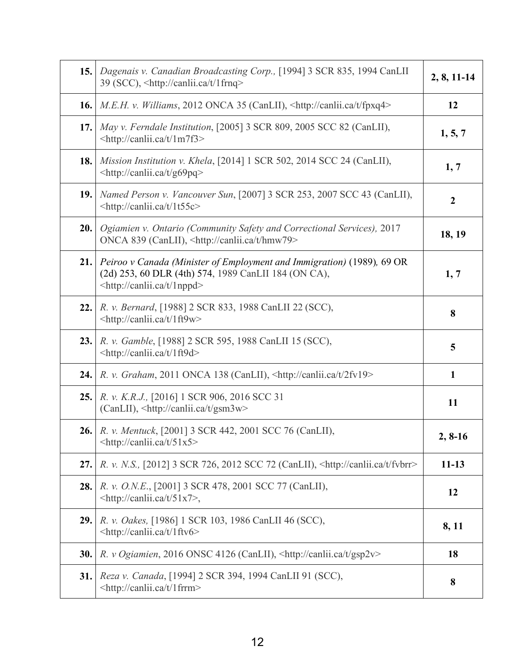|      | 15.   Dagenais v. Canadian Broadcasting Corp., [1994] 3 SCR 835, 1994 CanLII<br>39 (SCC), <http: 1frnq="" canlii.ca="" t=""></http:>                                             | $2, 8, 11-14$    |
|------|----------------------------------------------------------------------------------------------------------------------------------------------------------------------------------|------------------|
|      | <b>16.</b> M.E.H. v. Williams, 2012 ONCA 35 (CanLII), $\frac{\text{http://canlii.ca/t/fpxq4>}}{$                                                                                 | 12               |
| 17.  | May v. Ferndale Institution, [2005] 3 SCR 809, 2005 SCC 82 (CanLII),<br><http: 1m7f3="" canlii.ca="" t=""></http:>                                                               | 1, 5, 7          |
| 18.  | Mission Institution v. Khela, [2014] 1 SCR 502, 2014 SCC 24 (CanLII),<br><http: canlii.ca="" g69pq="" t=""></http:>                                                              | 1, 7             |
|      | <b>19.</b> Named Person v. Vancouver Sun, [2007] 3 SCR 253, 2007 SCC 43 (CanLII),<br><http: 1t55c="" canlii.ca="" t=""></http:>                                                  | $\boldsymbol{2}$ |
| 20.  | Ogiamien v. Ontario (Community Safety and Correctional Services), 2017<br>ONCA 839 (CanLII), <http: canlii.ca="" hmw79="" t=""></http:>                                          | 18, 19           |
|      | 21. Peiroo v Canada (Minister of Employment and Immigration) (1989), 69 OR<br>(2d) 253, 60 DLR (4th) 574, 1989 CanLII 184 (ON CA),<br><http: 1nppd="" canlii.ca="" t=""></http:> | 1, 7             |
| 22.  | R. v. Bernard, [1988] 2 SCR 833, 1988 CanLII 22 (SCC),<br><http: 1ft9w="" canlii.ca="" t=""></http:>                                                                             | 8                |
| 23.1 | R. v. Gamble, [1988] 2 SCR 595, 1988 CanLII 15 (SCC),<br><http: 1ft9d="" canlii.ca="" t=""></http:>                                                                              | 5                |
|      | <b>24.</b> $\vert R. v. \text{ Graham}, 2011 \text{ ONCA } 138 \text{ (CanLII)}, \text{~http://canlii.ca/t/2fv19>}$                                                              | $\mathbf{1}$     |
| 25.  | <i>R. v. K.R.J.</i> , [2016] 1 SCR 906, 2016 SCC 31<br>$(CanLII)$ , $\text{http://canlii.ca/t/gsm3w>}$                                                                           | 11               |
|      | <b>26.</b> R. v. Mentuck, [2001] 3 SCR 442, 2001 SCC 76 (CanLII),<br><http: 51x5="" canlii.ca="" t=""></http:>                                                                   | $2, 8-16$        |
| 27.  | R. v. N.S., [2012] 3 SCR 726, 2012 SCC 72 (CanLII), <http: canlii.ca="" fvbrr="" t=""></http:>                                                                                   | $11 - 13$        |
| 28.  | R. v. O.N.E., [2001] 3 SCR 478, 2001 SCC 77 (CanLII),<br>$\langle$ http://canlii.ca/t/51x7>,                                                                                     | 12               |
| 29.  | R. v. Oakes, [1986] 1 SCR 103, 1986 CanLII 46 (SCC),<br><http: 1ftv6="" canlii.ca="" t=""></http:>                                                                               | 8, 11            |
| 30.  | R. v Ogiamien, 2016 ONSC 4126 (CanLII), <http: canlii.ca="" gsp2v="" t=""></http:>                                                                                               | 18               |
| 31.  | Reza v. Canada, [1994] 2 SCR 394, 1994 CanLII 91 (SCC),<br><http: 1frrm="" canlii.ca="" t=""></http:>                                                                            | 8                |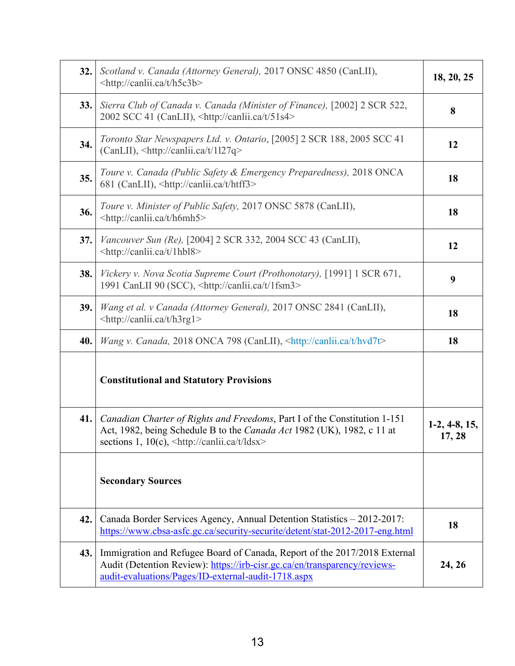| 32. | Scotland v. Canada (Attorney General), 2017 ONSC 4850 (CanLII),<br><http: canlii.ca="" h5c3b="" t=""></http:>                                                                                                       | 18, 20, 25                |
|-----|---------------------------------------------------------------------------------------------------------------------------------------------------------------------------------------------------------------------|---------------------------|
| 33. | Sierra Club of Canada v. Canada (Minister of Finance), [2002] 2 SCR 522,<br>2002 SCC 41 (CanLII), <http: 51s4="" canlii.ca="" t=""></http:>                                                                         | 8                         |
| 34. | Toronto Star Newspapers Ltd. v. Ontario, [2005] 2 SCR 188, 2005 SCC 41<br>$(CanLII)$ , $\text{http://canlii.ca/t/1127q>}$                                                                                           | 12                        |
| 35. | Toure v. Canada (Public Safety & Emergency Preparedness), 2018 ONCA<br>681 (CanLII), <http: canlii.ca="" htff3="" t=""></http:>                                                                                     | 18                        |
| 36. | Toure v. Minister of Public Safety, 2017 ONSC 5878 (CanLII),<br><http: canlii.ca="" h6mh5="" t=""></http:>                                                                                                          | 18                        |
| 37. | Vancouver Sun (Re), [2004] 2 SCR 332, 2004 SCC 43 (CanLII),<br><http: 1hbl8="" canlii.ca="" t=""></http:>                                                                                                           | 12                        |
| 38. | Vickery v. Nova Scotia Supreme Court (Prothonotary), [1991] 1 SCR 671,<br>1991 CanLII 90 (SCC), <http: 1fsm3="" canlii.ca="" t=""></http:>                                                                          | 9                         |
| 39. | Wang et al. v Canada (Attorney General), 2017 ONSC 2841 (CanLII),<br><http: canlii.ca="" h3rg1="" t=""></http:>                                                                                                     | 18                        |
| 40. | Wang v. Canada, 2018 ONCA 798 (CanLII), <http: canlii.ca="" hvd7t="" t=""></http:>                                                                                                                                  | 18                        |
|     | <b>Constitutional and Statutory Provisions</b>                                                                                                                                                                      |                           |
| 41. | Canadian Charter of Rights and Freedoms, Part I of the Constitution 1-151<br>Act, 1982, being Schedule B to the Canada Act 1982 (UK), 1982, c 11 at<br>sections 1, 10(c), <http: canlii.ca="" ldsx="" t=""></http:> | $1-2, 4-8, 15,$<br>17, 28 |
|     | <b>Secondary Sources</b>                                                                                                                                                                                            |                           |
| 42. | Canada Border Services Agency, Annual Detention Statistics - 2012-2017:<br>https://www.cbsa-asfc.gc.ca/security-securite/detent/stat-2012-2017-eng.html                                                             | 18                        |
| 43. | Immigration and Refugee Board of Canada, Report of the 2017/2018 External<br>Audit (Detention Review): https://irb-cisr.gc.ca/en/transparency/reviews-<br>audit-evaluations/Pages/ID-external-audit-1718.aspx       | 24, 26                    |